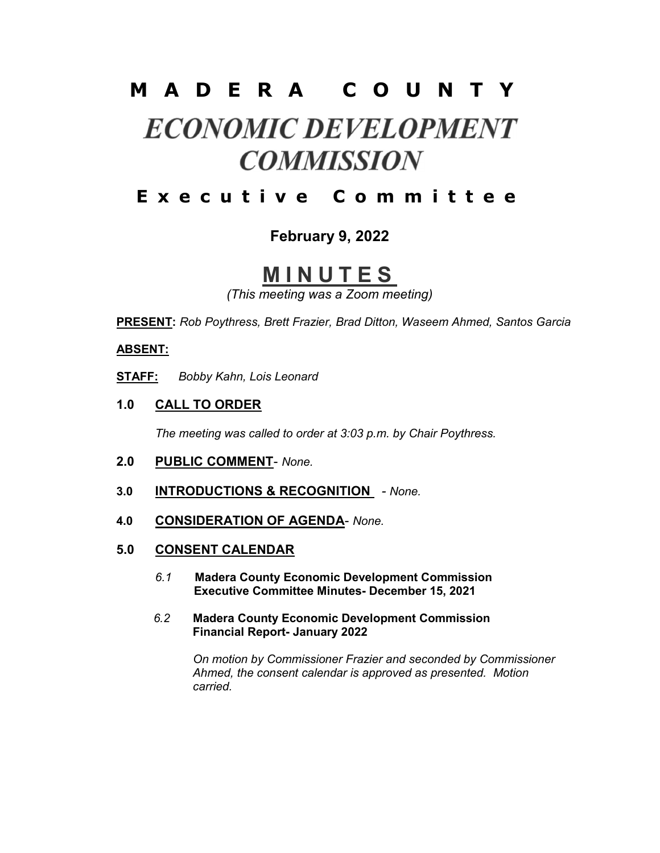## M A D E R A C O U N T Y

# **ECONOMIC DEVELOPMENT COMMISSION**

## E x e c u t i v e C o m m i t t e e

### February 9, 2022

# **MINUTES**

(This meeting was a Zoom meeting)

PRESENT: Rob Poythress, Brett Frazier, Brad Ditton, Waseem Ahmed, Santos Garcia

#### ABSENT:

STAFF: Bobby Kahn, Lois Leonard

1.0 CALL TO ORDER

The meeting was called to order at 3:03 p.m. by Chair Poythress.

- 2.0 PUBLIC COMMENT- None.
- 3.0 **INTRODUCTIONS & RECOGNITION** None.
- 4.0 CONSIDERATION OF AGENDA- None.
- 5.0 CONSENT CALENDAR
	- 6.1 Madera County Economic Development Commission Executive Committee Minutes- December 15, 2021
	- 6.2 Madera County Economic Development Commission Financial Report- January 2022

 On motion by Commissioner Frazier and seconded by Commissioner Ahmed, the consent calendar is approved as presented. Motion carried.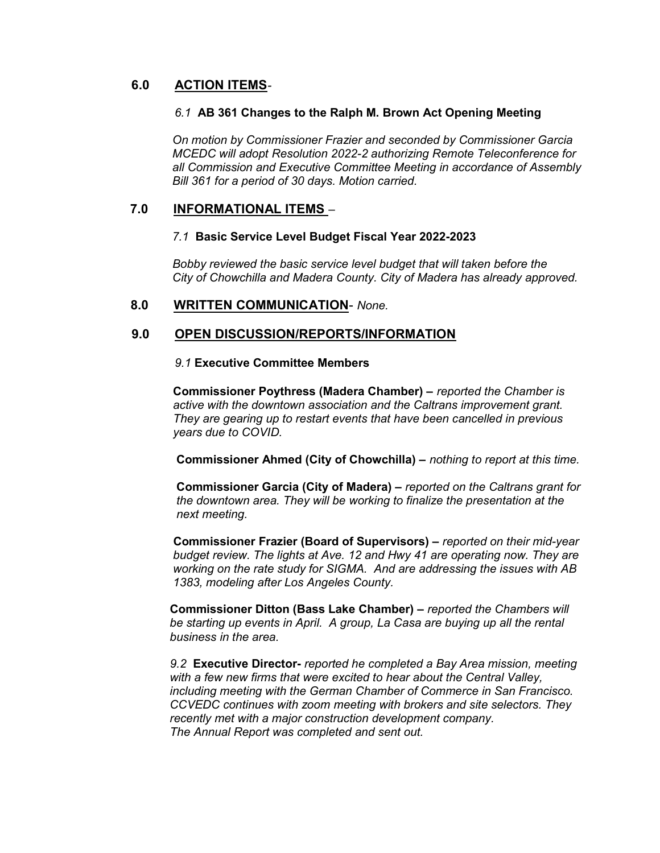#### 6.0 ACTION ITEMS-

#### 6.1 AB 361 Changes to the Ralph M. Brown Act Opening Meeting

 On motion by Commissioner Frazier and seconded by Commissioner Garcia MCEDC will adopt Resolution 2022-2 authorizing Remote Teleconference for all Commission and Executive Committee Meeting in accordance of Assembly Bill 361 for a period of 30 days. Motion carried.

#### 7.0 INFORMATIONAL ITEMS –

#### 7.1 Basic Service Level Budget Fiscal Year 2022-2023

 Bobby reviewed the basic service level budget that will taken before the City of Chowchilla and Madera County. City of Madera has already approved.

#### 8.0 WRITTEN COMMUNICATION- None.

#### 9.0 OPEN DISCUSSION/REPORTS/INFORMATION

#### 9.1 Executive Committee Members

 Commissioner Poythress (Madera Chamber) – reported the Chamber is active with the downtown association and the Caltrans improvement grant. They are gearing up to restart events that have been cancelled in previous years due to COVID.

Commissioner Ahmed (City of Chowchilla) – nothing to report at this time.

 Commissioner Garcia (City of Madera) – reported on the Caltrans grant for the downtown area. They will be working to finalize the presentation at the next meeting.

 Commissioner Frazier (Board of Supervisors) – reported on their mid-year budget review. The lights at Ave. 12 and Hwy 41 are operating now. They are working on the rate study for SIGMA. And are addressing the issues with AB 1383, modeling after Los Angeles County.

 Commissioner Ditton (Bass Lake Chamber) – reported the Chambers will be starting up events in April. A group, La Casa are buying up all the rental business in the area.

 9.2 Executive Director- reported he completed a Bay Area mission, meeting with a few new firms that were excited to hear about the Central Valley, including meeting with the German Chamber of Commerce in San Francisco. CCVEDC continues with zoom meeting with brokers and site selectors. They recently met with a major construction development company. The Annual Report was completed and sent out.